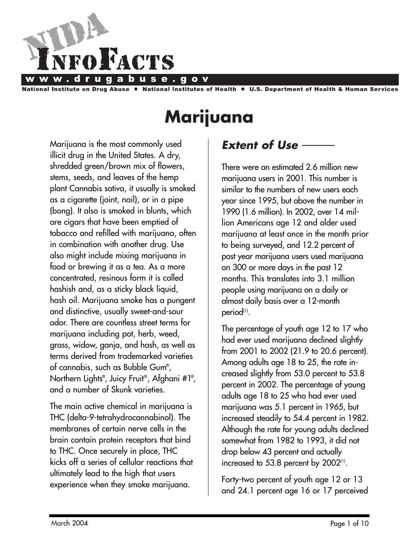

stitute on Drug Abuse National Institutes of Health  $\bullet$ **U.S. Department of Health & Human Services** 

# **Marijuana**

Marijuana is the most commonly used illicit drug in the United States. A dry, shredded green/brown mix of flowers, stems, seeds, and leaves of the hemp plant Cannabis sativa, it usually is smoked as a cigarette (joint, nail), or in a pipe (bong). It also is smoked in blunts, which are cigars that have been emptied of tobacco and refilled with marijuana, often in combination with another drug. Use also might include mixing marijuana in food or brewing it as a tea. As a more concentrated, resinous form it is called hashish and, as a sticky black liquid, hash oil. Marijuana smoke has a pungent and distinctive, usually sweet-and-sour odor. There are countless street terms for marijuana including pot, herb, weed, grass, widow, ganja, and hash, as well as terms derived from trademarked varieties of cannabis, such as Bubble Gum® , Northern Lights® , Juicy Fruit®, Afghani #1® , and a number of Skunk varieties.

The main active chemical in marijuana is THC (delta-9-tetrahydrocannabinol). The membranes of certain nerve cells in the brain contain protein receptors that bind to THC. Once securely in place, THC kicks off a series of cellular reactions that ultimately lead to the high that users experience when they smoke marijuana.

## **Extent of Use** -

There were an estimated 2.6 million new marijuana users in 2001. This number is similar to the numbers of new users each year since 1995, but above the number in 1990 (1.6 million). In 2002, over 14 million Americans age 12 and older used marijuana at least once in the month prior to being surveyed, and 12.2 percent of past year marijuana users used marijuana on 300 or more days in the past 12 months. This translates into 3.1 million people using marijuana on a daily or almost daily basis over a 12-month period<sup>(1)</sup>.

The percentage of youth age 12 to 17 who had ever used marijuana declined slightly from 2001 to 2002 (21.9 to 20.6 percent). Among adults age 18 to 25, the rate increased slightly from 53.0 percent to 53.8 percent in 2002. The percentage of young adults age 18 to 25 who had ever used marijuana was 5.1 percent in 1965, but increased steadily to 54.4 percent in 1982. Although the rate for young adults declined somewhat from 1982 to 1993, it did not drop below 43 percent and actually increased to 53.8 percent by  $2002$ <sup>(1)</sup>.

Forty-two percent of youth age 12 or 13 and 24.1 percent age 16 or 17 perceived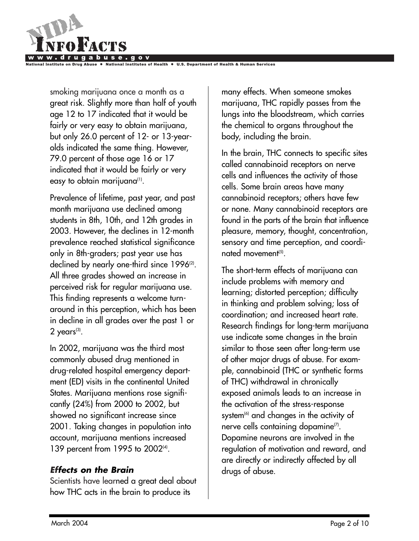

al Institutes of Health

smoking marijuana once a month as a great risk. Slightly more than half of youth age 12 to 17 indicated that it would be fairly or very easy to obtain marijuana, but only 26.0 percent of 12- or 13-yearolds indicated the same thing. However, 79.0 percent of those age 16 or 17 indicated that it would be fairly or very easy to obtain marijuana<sup>(1)</sup>.

Prevalence of lifetime, past year, and past month marijuana use declined among students in 8th, 10th, and 12th grades in 2003. However, the declines in 12-month prevalence reached statistical significance only in 8th-graders; past year use has declined by nearly one-third since 1996<sup>(2)</sup>. All three grades showed an increase in perceived risk for regular marijuana use. This finding represents a welcome turnaround in this perception, which has been in decline in all grades over the past 1 or  $2$  years<sup>(3)</sup>.

In 2002, marijuana was the third most commonly abused drug mentioned in drug-related hospital emergency department (ED) visits in the continental United States. Marijuana mentions rose significantly (24%) from 2000 to 2002, but showed no significant increase since 2001. Taking changes in population into account, marijuana mentions increased 139 percent from 1995 to 2002<sup>(4)</sup>.

## *Effects on the Brain*

Scientists have learned a great deal about how THC acts in the brain to produce its

many effects. When someone smokes marijuana, THC rapidly passes from the lungs into the bloodstream, which carries the chemical to organs throughout the body, including the brain.

In the brain, THC connects to specific sites called cannabinoid receptors on nerve cells and influences the activity of those cells. Some brain areas have many cannabinoid receptors; others have few or none. Many cannabinoid receptors are found in the parts of the brain that influence pleasure, memory, thought, concentration, sensory and time perception, and coordinated movement<sup> $(5)$ </sup>.

The short-term effects of marijuana can include problems with memory and learning; distorted perception; difficulty in thinking and problem solving; loss of coordination; and increased heart rate. Research findings for long-term marijuana use indicate some changes in the brain similar to those seen after long-term use of other major drugs of abuse. For example, cannabinoid (THC or synthetic forms of THC) withdrawal in chronically exposed animals leads to an increase in the activation of the stress-response system<sup>(6)</sup> and changes in the activity of nerve cells containing dopamine<sup>(7)</sup>. Dopamine neurons are involved in the regulation of motivation and reward, and are directly or indirectly affected by all drugs of abuse.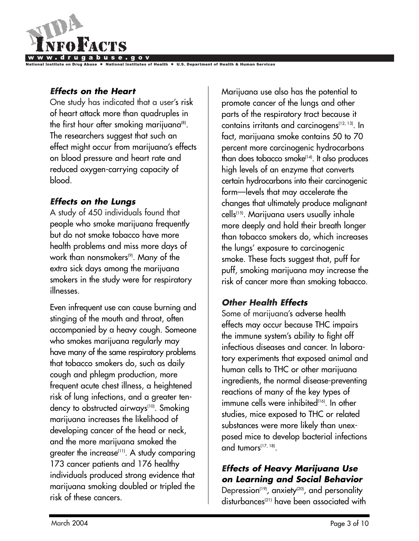

al Institutes of Health

## *Effects on the Heart*

One study has indicated that a user's risk of heart attack more than quadruples in the first hour after smoking marijuana(8). The researchers suggest that such an effect might occur from marijuana's effects on blood pressure and heart rate and reduced oxygen-carrying capacity of blood.

## *Effects on the Lungs*

A study of 450 individuals found that people who smoke marijuana frequently but do not smoke tobacco have more health problems and miss more days of work than nonsmokers<sup>(9)</sup>. Many of the extra sick days among the marijuana smokers in the study were for respiratory illnesses.

Even infrequent use can cause burning and stinging of the mouth and throat, often accompanied by a heavy cough. Someone who smokes marijuana regularly may have many of the same respiratory problems that tobacco smokers do, such as daily cough and phlegm production, more frequent acute chest illness, a heightened risk of lung infections, and a greater tendency to obstructed airways<sup>(10)</sup>. Smoking marijuana increases the likelihood of developing cancer of the head or neck, and the more marijuana smoked the greater the increase<sup>(11)</sup>. A study comparing 173 cancer patients and 176 healthy individuals produced strong evidence that marijuana smoking doubled or tripled the risk of these cancers.

Marijuana use also has the potential to promote cancer of the lungs and other parts of the respiratory tract because it contains irritants and carcinogens(12, 13). In fact, marijuana smoke contains 50 to 70 percent more carcinogenic hydrocarbons than does tobacco smoke<sup>(14)</sup>. It also produces high levels of an enzyme that converts certain hydrocarbons into their carcinogenic form—levels that may accelerate the changes that ultimately produce malignant cells(15). Marijuana users usually inhale more deeply and hold their breath longer than tobacco smokers do, which increases the lungs' exposure to carcinogenic smoke. These facts suggest that, puff for puff, smoking marijuana may increase the risk of cancer more than smoking tobacco.

## *Other Health Effects*

Some of marijuana's adverse health effects may occur because THC impairs the immune system's ability to fight off infectious diseases and cancer. In laboratory experiments that exposed animal and human cells to THC or other marijuana ingredients, the normal disease-preventing reactions of many of the key types of immune cells were inhibited<sup>(16)</sup>. In other studies, mice exposed to THC or related substances were more likely than unexposed mice to develop bacterial infections and tumors<sup>(17, 18)</sup>.

## *Effects of Heavy Marijuana Use on Learning and Social Behavior*

Depression<sup>(19)</sup>, anxiety<sup>(20)</sup>, and personality disturbances<sup>(21)</sup> have been associated with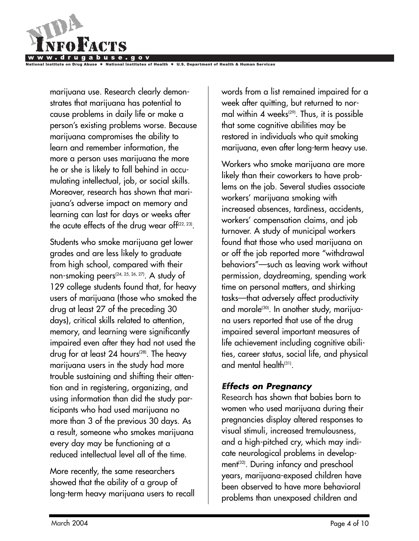

marijuana use. Research clearly demonstrates that marijuana has potential to cause problems in daily life or make a person's existing problems worse. Because marijuana compromises the ability to learn and remember information, the more a person uses marijuana the more he or she is likely to fall behind in accumulating intellectual, job, or social skills. Moreover, research has shown that marijuana's adverse impact on memory and learning can last for days or weeks after the acute effects of the drug wear of  $f^{(22, 23)}$ .

Students who smoke marijuana get lower grades and are less likely to graduate from high school, compared with their non-smoking peers<sup>(24, 25, 26, 27)</sup>. A study of 129 college students found that, for heavy users of marijuana (those who smoked the drug at least 27 of the preceding 30 days), critical skills related to attention, memory, and learning were significantly impaired even after they had not used the drug for at least 24 hours<sup> $(28)$ </sup>. The heavy marijuana users in the study had more trouble sustaining and shifting their attention and in registering, organizing, and using information than did the study participants who had used marijuana no more than 3 of the previous 30 days. As a result, someone who smokes marijuana every day may be functioning at a reduced intellectual level all of the time.

More recently, the same researchers showed that the ability of a group of long-term heavy marijuana users to recall words from a list remained impaired for a week after quitting, but returned to normal within 4 weeks<sup>(29)</sup>. Thus, it is possible that some cognitive abilities may be restored in individuals who quit smoking marijuana, even after long-term heavy use.

Workers who smoke marijuana are more likely than their coworkers to have problems on the job. Several studies associate workers' marijuana smoking with increased absences, tardiness, accidents, workers' compensation claims, and job turnover. A study of municipal workers found that those who used marijuana on or off the job reported more "withdrawal behaviors"—such as leaving work without permission, daydreaming, spending work time on personal matters, and shirking tasks—that adversely affect productivity and morale<sup>(30)</sup>. In another study, marijuana users reported that use of the drug impaired several important measures of life achievement including cognitive abilities, career status, social life, and physical and mental health $(31)$ .

#### *Effects on Pregnancy*

Research has shown that babies born to women who used marijuana during their pregnancies display altered responses to visual stimuli, increased tremulousness, and a high-pitched cry, which may indicate neurological problems in development<sup>(32)</sup>. During infancy and preschool years, marijuana-exposed children have been observed to have more behavioral problems than unexposed children and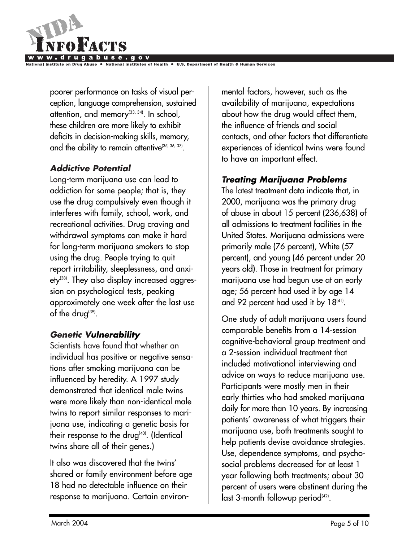

poorer performance on tasks of visual perception, language comprehension, sustained attention, and memory<sup>(33, 34)</sup>. In school, these children are more likely to exhibit deficits in decision-making skills, memory, and the ability to remain attentive<sup>(35, 36, 37)</sup>.

## *Addictive Potential*

Long-term marijuana use can lead to addiction for some people; that is, they use the drug compulsively even though it interferes with family, school, work, and recreational activities. Drug craving and withdrawal symptoms can make it hard for long-term marijuana smokers to stop using the drug. People trying to quit report irritability, sleeplessness, and anxiety(38). They also display increased aggression on psychological tests, peaking approximately one week after the last use of the drug<sup>(39)</sup>.

## *Genetic Vulnerability*

Scientists have found that whether an individual has positive or negative sensations after smoking marijuana can be influenced by heredity. A 1997 study demonstrated that identical male twins were more likely than non-identical male twins to report similar responses to marijuana use, indicating a genetic basis for their response to the drug $400$ . (Identical twins share all of their genes.)

It also was discovered that the twins' shared or family environment before age 18 had no detectable influence on their response to marijuana. Certain environ-

mental factors, however, such as the availability of marijuana, expectations about how the drug would affect them, the influence of friends and social contacts, and other factors that differentiate experiences of identical twins were found to have an important effect.

## *Treating Marijuana Problems*

The latest treatment data indicate that, in 2000, marijuana was the primary drug of abuse in about 15 percent (236,638) of all admissions to treatment facilities in the United States. Marijuana admissions were primarily male (76 percent), White (57 percent), and young (46 percent under 20 years old). Those in treatment for primary marijuana use had begun use at an early age; 56 percent had used it by age 14 and 92 percent had used it by  $18<sup>(41)</sup>$ .

One study of adult marijuana users found comparable benefits from a 14-session cognitive-behavioral group treatment and a 2-session individual treatment that included motivational interviewing and advice on ways to reduce marijuana use. Participants were mostly men in their early thirties who had smoked marijuana daily for more than 10 years. By increasing patients' awareness of what triggers their marijuana use, both treatments sought to help patients devise avoidance strategies. Use, dependence symptoms, and psychosocial problems decreased for at least 1 year following both treatments; about 30 percent of users were abstinent during the last 3-month followup period<sup>(42)</sup>.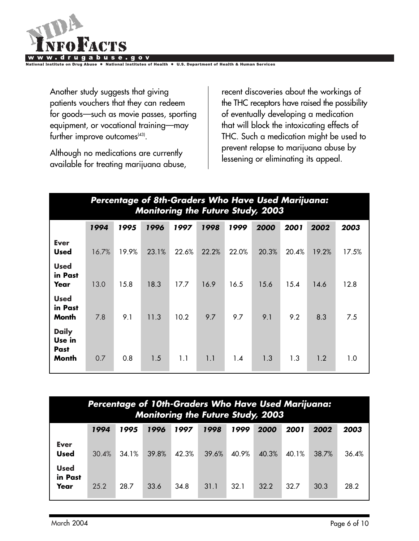

Another study suggests that giving patients vouchers that they can redeem for goods—such as movie passes, sporting equipment, or vocational training—may

further improve outcomes<sup>(43)</sup>.

Although no medications are currently available for treating marijuana abuse,

recent discoveries about the workings of the THC receptors have raised the possibility of eventually developing a medication that will block the intoxicating effects of THC. Such a medication might be used to prevent relapse to marijuana abuse by lessening or eliminating its appeal.

|                                         | Percentage of 8th-Graders Who Have Used Marijuana:<br><b>Monitoring the Future Study, 2003</b> |       |       |       |       |       |       |       |       |       |  |  |
|-----------------------------------------|------------------------------------------------------------------------------------------------|-------|-------|-------|-------|-------|-------|-------|-------|-------|--|--|
|                                         | 1994                                                                                           | 1995  | 1996  | 1997  | 1998  | 1999  | 2000  | 2001  | 2002  | 2003  |  |  |
| <b>Ever</b><br><b>Used</b>              | 16.7%                                                                                          | 19.9% | 23.1% | 22.6% | 22.2% | 22.0% | 20.3% | 20.4% | 19.2% | 17.5% |  |  |
| <b>Used</b><br>in Past<br>Year          | 13.0                                                                                           | 15.8  | 18.3  | 17.7  | 16.9  | 16.5  | 15.6  | 15.4  | 14.6  | 12.8  |  |  |
| <b>Used</b><br>in Past<br>Month         | 7.8                                                                                            | 9.1   | 11.3  | 10.2  | 9.7   | 9.7   | 9.1   | 9.2   | 8.3   | 7.5   |  |  |
| <b>Daily</b><br>Use in<br>Past<br>Month | 0.7                                                                                            | 0.8   | 1.5   | 1.1   | 1.1   | 1.4   | 1.3   | 1.3   | 1.2   | 1.0   |  |  |

| Percentage of 10th-Graders Who Have Used Marijuana:<br>Monitoring the Future Study, 2003 |                                                                              |       |       |       |       |       |       |       |       |       |  |  |
|------------------------------------------------------------------------------------------|------------------------------------------------------------------------------|-------|-------|-------|-------|-------|-------|-------|-------|-------|--|--|
|                                                                                          | 1999<br>1996<br>1997<br>1998<br>2000<br>1994<br>2001<br>1995<br>2002<br>2003 |       |       |       |       |       |       |       |       |       |  |  |
| <b>Ever</b><br><b>Used</b>                                                               | 30.4%                                                                        | 34.1% | 39.8% | 42.3% | 39.6% | 40.9% | 40.3% | 40.1% | 38.7% | 36.4% |  |  |
| <b>Used</b><br>in Past<br>Year                                                           | 25.2                                                                         | 28.7  | 33.6  | 34.8  | 31.1  | 32.1  | 32.2  | 32.7  | 30.3  | 28.2  |  |  |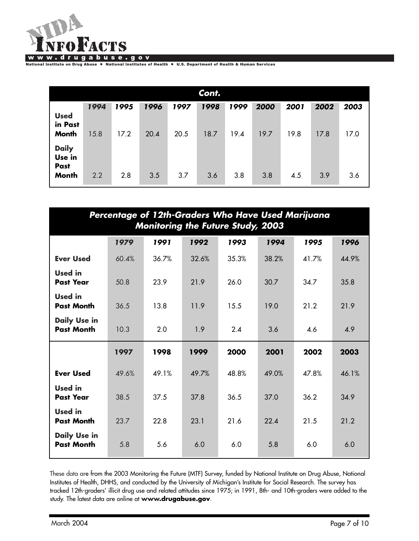

National Institute on Drug Abuse . National Institutes of Health . U.S. Department of Health & Human Services

| Cont.                                          |                                                                              |      |      |      |      |      |      |      |      |      |  |  |
|------------------------------------------------|------------------------------------------------------------------------------|------|------|------|------|------|------|------|------|------|--|--|
|                                                | 1994<br>1996<br>1998<br>1995<br>1999<br>2000<br>2002<br>1997<br>2001<br>2003 |      |      |      |      |      |      |      |      |      |  |  |
| <b>Used</b><br>in Past<br><b>Month</b>         | 15.8                                                                         | 17.2 | 20.4 | 20.5 | 18.7 | 19.4 | 19.7 | 19.8 | 17.8 | 17.0 |  |  |
| <b>Daily</b><br>Use in<br>Past<br><b>Month</b> | 2.2                                                                          | 2.8  | 3.5  | 3.7  | 3.6  | 3.8  | 3.8  | 4.5  | 3.9  | 3.6  |  |  |

| Percentage of 12th-Graders Who Have Used Marijuana<br><b>Monitoring the Future Study, 2003</b> |                                                      |       |       |       |       |       |       |  |  |  |  |
|------------------------------------------------------------------------------------------------|------------------------------------------------------|-------|-------|-------|-------|-------|-------|--|--|--|--|
|                                                                                                | 1991<br>1992<br>1993<br>1994<br>1979<br>1995<br>1996 |       |       |       |       |       |       |  |  |  |  |
| <b>Ever Used</b>                                                                               | 60.4%                                                | 36.7% | 32.6% | 35.3% | 38.2% | 41.7% | 44.9% |  |  |  |  |
| <b>Used</b> in<br><b>Past Year</b>                                                             | 50.8                                                 | 23.9  | 21.9  | 26.0  | 30.7  | 34.7  | 35.8  |  |  |  |  |
| <b>Used</b> in<br><b>Past Month</b>                                                            | 36.5                                                 | 13.8  | 11.9  | 15.5  | 19.0  | 21.2  | 21.9  |  |  |  |  |
| <b>Daily Use in</b><br><b>Past Month</b>                                                       | 10.3                                                 | 2.0   | 1.9   | 2.4   | 3.6   | 4.6   | 4.9   |  |  |  |  |
|                                                                                                | 1997                                                 | 1998  | 1999  | 2000  | 2001  | 2002  | 2003  |  |  |  |  |
| <b>Ever Used</b>                                                                               | 49.6%                                                | 49.1% | 49.7% | 48.8% | 49.0% | 47.8% | 46.1% |  |  |  |  |
| <b>Used</b> in<br><b>Past Year</b>                                                             | 38.5                                                 | 37.5  | 37.8  | 36.5  | 37.0  | 36.2  | 34.9  |  |  |  |  |
| <b>Used</b> in<br><b>Past Month</b>                                                            | 23.7                                                 | 22.8  | 23.1  | 21.6  | 22.4  | 21.5  | 21.2  |  |  |  |  |
| <b>Daily Use in</b><br><b>Past Month</b>                                                       | 5.8                                                  | 5.6   | 6.0   | 6.0   | 5.8   | 6.0   | 6.0   |  |  |  |  |

These data are from the 2003 Monitoring the Future (MTF) Survey, funded by National Institute on Drug Abuse, National Institutes of Health, DHHS, and conducted by the University of Michigan's Institute for Social Research. The survey has tracked 12th-graders' illicit drug use and related attitudes since 1975; in 1991, 8th- and 10th-graders were added to the study. The latest data are online at **www.drugabuse.gov**.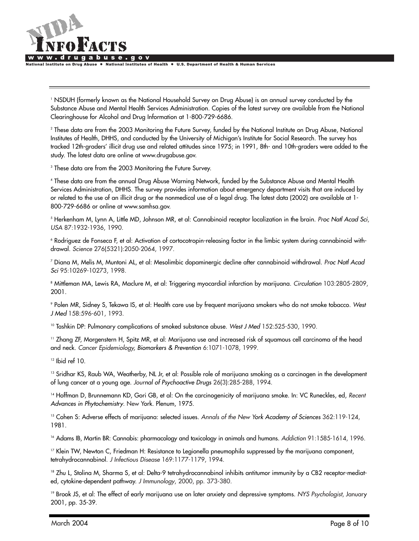

**National Institute on Drug Abuse** National Institutes of Health ● U.S. Department of Health & Human Services

<sup>1</sup> NSDUH (formerly known as the National Household Survey on Drug Abuse) is an annual survey conducted by the Substance Abuse and Mental Health Services Administration. Copies of the latest survey are available from the National Clearinghouse for Alcohol and Drug Information at 1-800-729-6686.

<sup>2</sup> These data are from the 2003 Monitoring the Future Survey, funded by the National Institute on Drug Abuse, National Institutes of Health, DHHS, and conducted by the University of Michigan's Institute for Social Research. The survey has tracked 12th-graders' illicit drug use and related attitudes since 1975; in 1991, 8th- and 10th-graders were added to the study. The latest data are online at www.drugabuse.gov.

<sup>3</sup> These data are from the 2003 Monitoring the Future Survey.

<sup>4</sup> These data are from the annual Drug Abuse Warning Network, funded by the Substance Abuse and Mental Health Services Administration, DHHS. The survey provides information about emergency department visits that are induced by or related to the use of an illicit drug or the nonmedical use of a legal drug. The latest data (2002) are available at 1- 800-729-6686 or online at www.samhsa.gov.

<sup>5</sup> Herkenham M, Lynn A, Little MD, Johnson MR, et al: Cannabinoid receptor localization in the brain. *Proc Natl Acad Sci*, *USA* 87:1932-1936, 1990.

<sup>6</sup> Rodriguez de Fonseca F, et al: Activation of cortocotropin-releasing factor in the limbic system during cannabinoid withdrawal. *Science* 276(5321):2050-2064, 1997.

<sup>7</sup> Diana M, Melis M, Muntoni AL, et al: Mesolimbic dopaminergic decline after cannabinoid withdrawal. *Proc Natl Acad Sci* 95:10269-10273, 1998.

<sup>8</sup> Mittleman MA, Lewis RA, Maclure M, et al: Triggering myocardial infarction by marijuana. *Circulation* 103:2805-2809, 2001.

<sup>9</sup> Polen MR, Sidney S, Tekawa IS, et al: Health care use by frequent marijuana smokers who do not smoke tobacco. *West J Med* 158:596-601, 1993.

<sup>10</sup> Tashkin DP: Pulmonary complications of smoked substance abuse. West J Med 152:525-530, 1990.

<sup>11</sup> Zhang ZF, Morgenstern H, Spitz MR, et al: Marijuana use and increased risk of squamous cell carcinoma of the head and neck. *Cancer Epidemiology, Biomarkers & Prevention* 6:1071-1078, 1999.

 $12$  Ibid ref 10.

<sup>13</sup> Sridhar KS, Raub WA, Weatherby, NL Jr, et al: Possible role of marijuana smoking as a carcinogen in the development of lung cancer at a young age. *Journal of Psychoactive Drugs* 26(3):285-288, 1994.

<sup>14</sup> Hoffman D, Brunnemann KD, Gori GB, et al: On the carcinogenicity of marijuana smoke. In: VC Runeckles, ed, *Recent Advances in Phytochemistry*. New York. Plenum, 1975.

<sup>15</sup> Cohen S: Adverse effects of marijuana: selected issues. *Annals of the New York Academy of Sciences* 362:119-124, 1981.

<sup>16</sup> Adams IB, Martin BR: Cannabis: pharmacology and toxicology in animals and humans. *Addiction* 91:1585-1614, 1996.

<sup>17</sup> Klein TW, Newton C, Friedman H: Resistance to Legionella pneumophila suppressed by the marijuana component, tetrahydrocannabinol. *J Infectious Disease* 169:1177-1179, 1994.

<sup>18</sup> Zhu L, Stolina M, Sharma S, et al: Delta-9 tetrahydrocannabinol inhibits antitumor immunity by a CB2 receptor-mediated, cytokine-dependent pathway. *J Immunology*, 2000, pp. 373-380.

<sup>19</sup> Brook JS, et al: The effect of early marijuana use on later anxiety and depressive symptoms. *NYS Psychologist*, January 2001, pp. 35-39.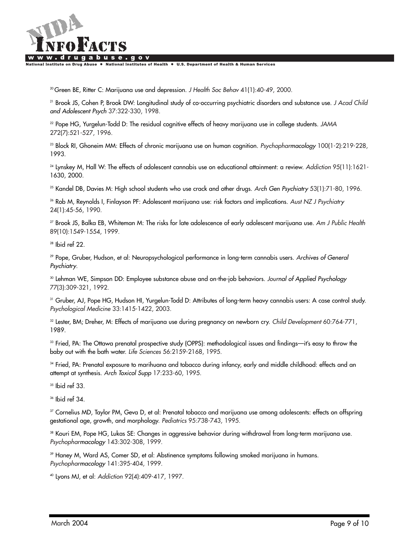

lational Institute on Drug Abuse ● National Institutes of Health ● U.S. Department of Health & Human Services

20 Green BE, Ritter C: Marijuana use and depression. *J Health Soc Behav* 41(1):40-49, 2000.

<sup>21</sup> Brook JS, Cohen P, Brook DW: Longitudinal study of co-occurring psychiatric disorders and substance use. *J Acad Child and Adolescent Psych* 37:322-330, 1998.

<sup>22</sup> Pope HG, Yurgelun-Todd D: The residual cognitive effects of heavy marijuana use in college students. *JAMA* 272(7):521-527, 1996.

<sup>23</sup> Block RI, Ghoneim MM: Effects of chronic marijuana use on human cognition. *Psychopharmacology* 100(1-2):219-228, 1993.

<sup>24</sup> Lynskey M, Hall W: The effects of adolescent cannabis use on educational attainment: a review. *Addiction* 95(11):1621- 1630, 2000.

<sup>25</sup> Kandel DB, Davies M: High school students who use crack and other drugs. *Arch Gen Psychiatry* 53(1):71-80, 1996.

<sup>26</sup> Rob M, Reynolds I, Finlayson PF: Adolescent marijuana use: risk factors and implications. *Aust NZ J Psychiatry* 24(1):45-56, 1990.

<sup>27</sup> Brook JS, Balka EB, Whiteman M: The risks for late adolescence of early adolescent marijuana use. *Am J Public Health* 89(10):1549-1554, 1999.

<sup>28</sup> Ibid ref 22.

<sup>29</sup> Pope, Gruber, Hudson, et al: Neuropsychological performance in long-term cannabis users. *Archives of General Psychiatry*.

<sup>30</sup> Lehman WE, Simpson DD: Employee substance abuse and on-the-job behaviors. *Journal of Applied Psychology* 77(3):309-321, 1992.

<sup>31</sup> Gruber, AJ, Pope HG, Hudson HI, Yurgelun-Todd D: Attributes of long-term heavy cannabis users: A case control study. *Psychological Medicine* 33:1415-1422, 2003.

<sup>32</sup> Lester, BM; Dreher, M: Effects of marijuana use during pregnancy on newborn cry. *Child Development* 60:764-771, 1989.

<sup>33</sup> Fried, PA: The Ottawa prenatal prospective study (OPPS): methodological issues and findings—it's easy to throw the baby out with the bath water. *Life Sciences* 56:2159-2168, 1995.

<sup>34</sup> Fried, PA: Prenatal exposure to marihuana and tobacco during infancy, early and middle childhood: effects and an attempt at synthesis. *Arch Toxicol Supp* 17:233-60, 1995.

 $35$  Ibid ref 33.

<sup>36</sup> Ibid ref 34.

<sup>37</sup> Cornelius MD, Taylor PM, Geva D, et al: Prenatal tobacco and marijuana use among adolescents: effects on offspring gestational age, growth, and morphology. *Pediatrics* 95:738-743, 1995.

<sup>38</sup> Kouri EM, Pope HG, Lukas SE: Changes in aggressive behavior during withdrawal from long-term marijuana use. *Psychopharmacology* 143:302-308, 1999.

<sup>39</sup> Haney M, Ward AS, Comer SD, et al: Abstinence symptoms following smoked marijuana in humans. *Psychopharmacology* 141:395-404, 1999.

<sup>40</sup> Lyons MJ, et al: *Addiction* 92(4):409-417, 1997.